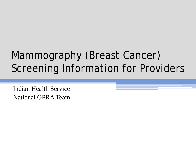# Mammography (Breast Cancer) Screening Information for Providers

Indian Health Service National GPRA Team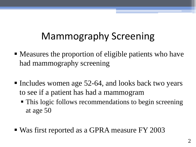## Mammography Screening

- Measures the proportion of eligible patients who have had mammography screening
- Includes women age  $52-64$ , and looks back two years to see if a patient has had a mammogram
	- This logic follows recommendations to begin screening at age 50
- Was first reported as a GPRA measure FY 2003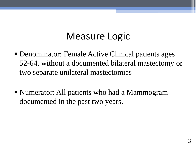### Measure Logic

- Denominator: Female Active Clinical patients ages 52-64, without a documented bilateral mastectomy or two separate unilateral mastectomies
- Numerator: All patients who had a Mammogram documented in the past two years.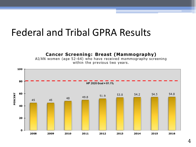#### Federal and Tribal GPRA Results

#### **Cancer Screening: Breast (Mammography)**

AI/AN women (age 52-64) who have received mammography screening within the previous two years.

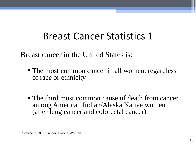## Breast Cancer Statistics 1

Breast cancer in the United States is:

- The most common cancer in all women, regardless of race or ethnicity
- The third most common cause of death from cancer among American Indian/Alaska Native women (after lung cancer and colorectal cancer)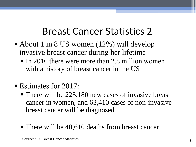#### Breast Cancer Statistics 2

- About 1 in 8 US women  $(12\%)$  will develop invasive breast cancer during her lifetime
	- $\blacksquare$  In 2016 there were more than 2.8 million women with a history of breast cancer in the US
- **Estimates for 2017:** 
	- There will be 225,180 new cases of invasive breast cancer in women, and 63,410 cases of non-invasive breast cancer will be diagnosed
	- There will be 40,610 deaths from breast cancer

Source: ["US Breast Cancer Statistics"](http://www.breastcancer.or/symptoms/understand_bc/statistics)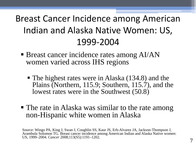#### Breast Cancer Incidence among American Indian and Alaska Native Women: US, 1999-2004

- **Breast cancer incidence rates among AI/AN** women varied across IHS regions
	- The highest rates were in Alaska (134.8) and the Plains (Northern, 115.9; Southern, 115.7), and the lowest rates were in the Southwest (50.8)
- The rate in Alaska was similar to the rate among non-Hispanic white women in Alaska

Source: Wingo PA, King J, Swan J, Coughlin SS, Kaur JS, Erb-Alvarez JA, Jackson-Thompson J, Arambula Solomon TG. Breast cancer incidence among American Indian and Alaska Native women: US, 1999–2004. *Cancer* 2008;113(S5):1191–1202.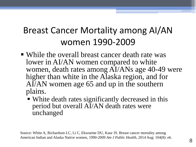#### Breast Cancer Mortality among AI/AN women 1990-2009

- While the overall breast cancer death rate was lower in AI/AN women compared to white women, death rates among AI/ANs age 40-49 were higher than white in the Alaska region, and for AI/AN women age 65 and up in the southern plains.
	- White death rates significantly decreased in this period but overall AI/AN death rates were unchanged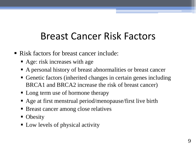## Breast Cancer Risk Factors

- Risk factors for breast cancer include:
	- Age: risk increases with age
	- A personal history of breast abnormalities or breast cancer
	- Genetic factors (inherited changes in certain genes including BRCA1 and BRCA2 increase the risk of breast cancer)
	- Long term use of hormone therapy
	- Age at first menstrual period/menopause/first live birth
	- **Breast cancer among close relatives**
	- Obesity
	- Low levels of physical activity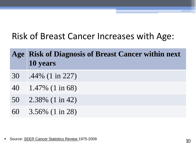#### Risk of Breast Cancer Increases with Age:

|    | Age Risk of Diagnosis of Breast Cancer within next<br>10 years |
|----|----------------------------------------------------------------|
| 30 | $.44\%$ (1 in 227)                                             |
| 40 | $1.47\%$ (1 in 68)                                             |
| 50 | $\frac{2.38\%}{1 \text{ in } 42}$                              |
| 60 | $\frac{3.56\%}{1 \text{ in } 28}$                              |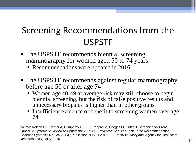#### Screening Recommendations from the USPSTF

- The USPSTF recommends biennial screening mammography for women aged 50 to 74 years
	- Recommendations were updated in 2016
- The USPSTF recommends against regular mammography before age 50 or after age 74
	- Women age 40-49 at average risk may still choose to begin biennial screening, but the risk of false positive results and unnecessary biopsies is higher than in other groups
	- **Insufficient evidence of benefit to screening women over age** 74

Source: Nelson HD, Cantor A, Humphrey L, Fu R, Pappas M, Daeges M, Griffin J. Screening for Breast Cancer: A Systematic Review to Update the 2009 US Preventive Services Task Force Recommendation. Evidence Synthesis No 124. AHRQ Publication N 14-05201-EF-1. Rockville, Maryland: Agency for Healthcare Research and Quality, 2016 11 No. 2016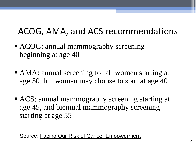#### ACOG, AMA, and ACS recommendations

- ACOG: annual mammography screening beginning at age 40
- AMA: annual screening for all women starting at age 50, but women may choose to start at age 40
- ACS: annual mammography screening starting at age 45, and biennial mammography screening starting at age 55

Source: [Facing Our Risk of Cancer Empowerment](http://www.facingourrisk.org/our-role-and-impact/advocacy/breast-screening-comparitons-chart.pdf) 12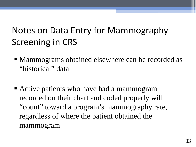### Notes on Data Entry for Mammography Screening in CRS

- Mammograms obtained elsewhere can be recorded as "historical" data
- Active patients who have had a mammogram recorded on their chart and coded properly will "count" toward a program's mammography rate, regardless of where the patient obtained the mammogram